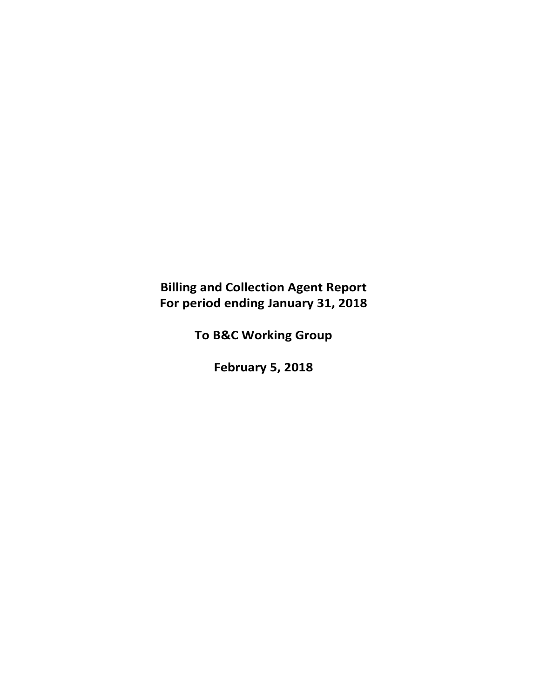# **Billing and Collection Agent Report For period ending January 31, 2018**

**To B&C Working Group**

**February 5, 2018**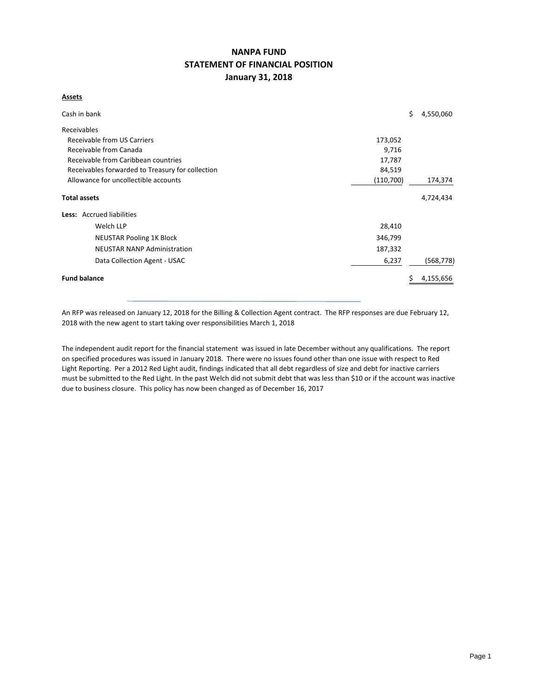## **NANPA FUND STATEMENT OF FINANCIAL POSITION January 31, 2018**

#### **Assets**

| Cash in bank                                               |         | \$<br>4,550,060 |  |  |  |  |  |  |
|------------------------------------------------------------|---------|-----------------|--|--|--|--|--|--|
| Receivables                                                |         |                 |  |  |  |  |  |  |
| Receivable from US Carriers<br>173,052                     |         |                 |  |  |  |  |  |  |
| Receivable from Canada<br>9,716                            |         |                 |  |  |  |  |  |  |
| Receivable from Caribbean countries<br>17,787              |         |                 |  |  |  |  |  |  |
| 84,519<br>Receivables forwarded to Treasury for collection |         |                 |  |  |  |  |  |  |
| Allowance for uncollectible accounts<br>(110,700)          |         |                 |  |  |  |  |  |  |
| <b>Total assets</b>                                        |         | 4,724,434       |  |  |  |  |  |  |
| Less: Accrued liabilities                                  |         |                 |  |  |  |  |  |  |
| Welch LLP                                                  | 28,410  |                 |  |  |  |  |  |  |
| <b>NEUSTAR Pooling 1K Block</b>                            | 346,799 |                 |  |  |  |  |  |  |
| <b>NEUSTAR NANP Administration</b>                         | 187,332 |                 |  |  |  |  |  |  |
| Data Collection Agent - USAC                               | 6,237   | (568, 778)      |  |  |  |  |  |  |
| <b>Fund balance</b>                                        |         | 4,155,656       |  |  |  |  |  |  |

An RFP was released on January 12, 2018 for the Billing & Collection Agent contract. The RFP responses are due February 12, 2018 with the new agent to start taking over responsibilities March 1, 2018

The independent audit report for the financial statement was issued in late December without any qualifications. The report on specified procedures was issued in January 2018. There were no issues found other than one issue with respect to Red Light Reporting. Per a 2012 Red Light audit, findings indicated that all debt regardless of size and debt for inactive carriers must be submitted to the Red Light. In the past Welch did not submit debt that was less than \$10 or if the account was inactive due to business closure. This policy has now been changed as of December 16, 2017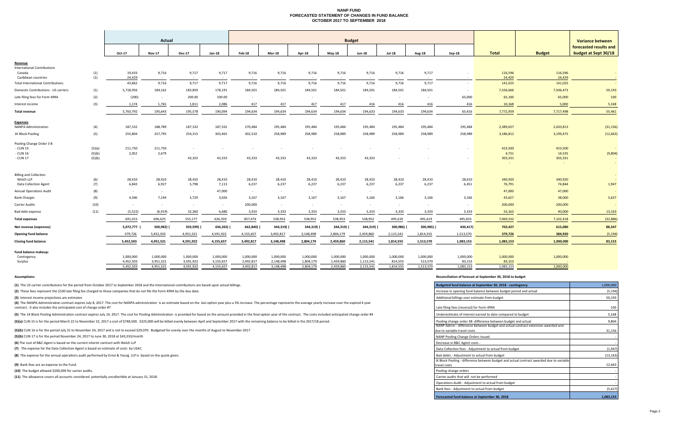#### **NANP FUND FORECASTED STATEMENT OF CHANGES IN FUND BALANCE OCTOBER 2017 TO SEPTEMBER 2018**

|                                                                |                  |                  | <b>Budget</b>    |                  |            |            |            |               |               |               |               | <b>Variance between</b> |           |                               |                   |                                                |  |
|----------------------------------------------------------------|------------------|------------------|------------------|------------------|------------|------------|------------|---------------|---------------|---------------|---------------|-------------------------|-----------|-------------------------------|-------------------|------------------------------------------------|--|
|                                                                |                  | Oct-17           | <b>Nov-17</b>    | <b>Dec-17</b>    | Jan-18     | Feb-18     | Mar-18     | <b>Apr-18</b> | <b>May-18</b> | <b>Jun-18</b> | <b>Jul-18</b> | <b>Aug-18</b>           | Sep-18    | <b>Total</b><br><b>Budget</b> |                   | forecasted results and<br>budget at Sept 30/18 |  |
| <u>Revenue</u><br><b>International Contributions</b><br>Canada |                  | 19,433           | 9,716            | 9,717            | 9,717      | 9,716      | 9,716      | 9,716         | 9,716         | 9,716         | 9,716         | 9,717                   |           | 116,596                       | 116,596           | $\sim$                                         |  |
| Caribbean countries                                            | (1)<br>(1)       | 24,429           | $\sim 10^{-1}$   | $\sim$           |            |            | $\sim$     | $\sim$        | $\sim 100$    | $\sim$        |               |                         |           | 24,429                        | 24,429            |                                                |  |
| <b>Total International Contributions</b>                       |                  | 43,862           | 9,716            | 9,717            | 9,717      | 9,716      | 9,716      | 9,716         | 9,716         | 9,716         | 9,716         | 9,717                   | $\sim$    | 141,025                       | 141,025           |                                                |  |
| Domestic Contributions - US carriers                           | (1)              | 5,718,956        | 184,162          | 183,850          | 178,191    | 184,501    | 184,501    | 184,501       | 184,501       | 184,501       | 184,501       | 184,501                 | $\sim$    | 7,556,666                     | 7,506,473         | 50,193                                         |  |
| Late filing fees for Form 499A                                 | (2)              | (200)            | $\sim$           | 200.00           | 100.00     | $\sim$ $-$ | $\sim$     | $\sim$        | $\sim$        | $\sim$        | $\sim$        | $\sim$                  | 65,000    | 65,100                        | 65,000            | 100                                            |  |
| Interest income                                                | (3)              | 1,174            | 1,765            | 1,811            | 2,086      | 417        | 417        | 417           | 417           | 416           | 416           | 416                     | 416       | 10,168                        | 5,000             | 5,168                                          |  |
| <b>Total revenue</b>                                           |                  | 5,763,792        | 195,643          | 195,578          | 190,094    | 194,634    | 194,634    | 194,634       | 194,634       | 194,633       | 194,633       | 194,634                 | 65,416    | 7,772,959                     | 7,717,498         | 55,461                                         |  |
| <b>Expenses</b><br>NANPA Administration                        | (4)              | 187,332          | 188,789          | 187,332          | 187,332    | 270,484    | 195,484    | 195,484       | 195,484       | 195,484       | 195,484       | 195,484                 | 195,484   | 2,389,657                     | 2,420,813         | (31, 156)                                      |  |
| 1K Block Pooling                                               | (5)              | 255,804          | 257,795          | 254,315          | 303,465    | 302,510    | 258,989    | 258,989       | 258,989       | 258,989       | 258,989       | 258,989                 | 258,989   | 3,186,812                     | 3,199,475         | (12, 663)                                      |  |
| Pooling Change Order 3 B                                       |                  |                  |                  |                  |            |            |            |               |               |               |               |                         |           |                               |                   |                                                |  |
| - CLIN 15<br>- CLIN 16                                         | (5)(a)<br>(5)(b) | 211,750<br>2,052 | 211,750<br>2,679 | $\sim$<br>$\sim$ |            |            |            |               |               |               |               |                         |           | 423,500<br>4,731              | 423,500<br>14,535 | (9,804)                                        |  |
| - CLIN 17                                                      | (5)(b)           | $\sim$           | $\sim$           | 43,333           | 43,333     | 43,333     | 43,333     | 43,333        | 43,333        | 43,333        |               |                         |           | 303,331                       | 303,331           | $\sim$                                         |  |
| <b>Billing and Collection</b>                                  |                  |                  |                  |                  |            |            |            |               |               |               |               |                         |           |                               |                   | $\sim$                                         |  |
| Welch LLP                                                      | (6)              | 28,410           | 28,410           | 28,410           | 28,410     | 28,410     | 28,410     | 28,410        | 28,410        | 28,410        | 28,410        | 28,410                  | 28,410    | 340,920                       | 340,920           |                                                |  |
| <b>Data Collection Agent</b>                                   | (7)              | 6,843            | 6,927            | 5,798            | 7,113      | 6,237      | 6,237      | 6,237         | 6,237         | 6,237         | 6,237         | 6,237                   | 6,451     | 76,791                        | 74,844            | 1,947                                          |  |
| <b>Annual Operations Audit</b>                                 | (8)              | $\sim$ $-$       | $\sim$ $-$       | $\sim$           | 47,000     | $\sim$ $-$ | $\sim$     | $\sim$        | $\sim$        | $\sim$        | $\sim$        |                         |           | 47,000                        | 47,000            |                                                |  |
| <b>Bank Charges</b>                                            | (9)              | 4,346            | 7,194            | 3,729            | 3,026      | 3,167      | 3,167      | 3,167         | 3,167         | 3,166         | 3,166         | 3,166                   | 3,166     | 43,627                        | 38,000            | 5,627                                          |  |
| Carrier Audits                                                 | (10)             | $\sim$           | $\sim 100$       | $\sim$           | $\sim$     | 200,000    | $\sim$     | $\sim$        | $\sim$        | $\sim$        | $\sim$        | $\sim$                  |           | 200,000                       | 200,000           |                                                |  |
| Bad debt expense                                               | (11)             | (5, 522)         | (6,919)          | 32,260           | 6,680      | 3,333      | 3,333      | 3,333         | 3,333         | 3,333         | 3,333         | 3,333                   | 3,333     | 53,163                        | 40,000            | 13,163                                         |  |
| <b>Total expenses</b>                                          |                  | 691,015          | 696,625          | 555,177          | 626,359    | 857,474    | 538,953    | 538,953       | 538,953       | 538,952       | 495,619       | 495,619                 | 495,833   | 7,069,532                     | 7,102,418         | (32, 886)                                      |  |
| Net revenue (expenses)                                         |                  | 5,072,777        | 500,982)         | 359,599)         | 436,265) ( | 662,840)   | 344,319) ( | 344,319) (    | 344,319) (    | 344,319) (    | 300,986)      | 300,985) (              | 430,417)  | 703,427                       | 615,080           | 88,347                                         |  |
| <b>Opening fund balance</b>                                    |                  | 379,726          | 5,452,503        | 4,951,521        | 4,591,922  | 4,155,657  | 3,492,817  | 3,148,498     | 2,804,179     | 2,459,860     | 2,115,541     | 1,814,555               | 1,513,570 | 379,726                       | 384,920           | (5, 194)                                       |  |
| <b>Closing fund balance</b>                                    |                  | 5,452,503        | 4,951,521        | 4,591,922        | 4,155,657  | 3,492,817  | 3,148,498  | 2,804,179     | 2,459,860     | 2,115,541     | 1,814,555     | 1,513,570               | 1,083,153 | 1,083,153                     | 1,000,000         | 83,153                                         |  |
| Fund balance makeup:                                           |                  |                  |                  |                  |            |            |            |               |               |               |               |                         |           |                               |                   |                                                |  |
| Contingency                                                    |                  | 1.000.000        | 1.000.000        | 1.000.000        | 1.000.000  | 1.000.000  | 1.000.000  | 1.000.000     | 1.000.000     | 1.000.000     | 1.000.000     | 1.000.000               | 1,000,000 | 1,000,000                     | 1,000,000         |                                                |  |

5,452,503 4,951,521 4,591,922 4,155,657 3,492,817 3,148,498 2,804,179 2,459,860 2,115,541 1,814,555 1,513,570 1,083,153 1,083,153 1,000,000

Surplus 4,452,503 3,951,521 3,591,922 3,155,657 2,148,498 1,804,179 1,459,860 1,115,541 814,555 513,570 83,153 83,153 83,153

**(1)** The US carrier contributions for the period from October 2017 to September 2018 and the International contributions are based upon actual billings.

(2) These fees represent the \$100 late filing fee charged to those companies that do not file the Form 499A by the due date.

**(3)** Interest income projections are estimates

(4) The NANPA Administration contract expires July 8, 2017. The cost for NANPA administration is an estimate based on the last option year plus a 3% increase. The percentage represents the average yearly increase over the contract. It also includes the anticipated cost of change order #7 Late filing fees (reversal) for Form 499A

(5) The 1K Block Pooling Administration contract expires July 14, 2017. The cost for Pooling Administration is provided for based on the amount provided in the final option year of the contract. The costs included anticipa

(5)(a) CLIN 15 is for the period March 22 to November 22, 2017 a cost of \$748,500. \$325,000 will be billed evenly between April and September 2017 with the remaining balance to be billed in the 2017/18 period.

**(5)(b)** CLIN 16 is for the period July 31 to November 24, 2017 and is not to exceed \$29,070. Budgeted for evenly over the months of August to November 2017

**(5)(b)** CLIN 17 is for the period November 24, 2017 to June 30, 2018 at \$43,333/month

**(6)** The cost of B&C Agent is based on the current interim contract with Welch LLP

(7) The expense for the Data Collection Agent is based on estimate of costs by USAC.

**(8)** The expense for the annual operations audit performed by Ernst & Young LLP is based on the quote given.

**(9)** Bank fees are an expense to the Fund.

**(10)** The budget allowed \$200,000 for carrier audits.

**(11)** The allowance covers all accounts considered potentially uncollectible at January 31, 2018.

#### **Assumptions: Reconciliation of forecast at September 30, 2018 to budget**

| Budgeted fund balance at September 30, 2018 - contingency                                                        | 1,000,000 |
|------------------------------------------------------------------------------------------------------------------|-----------|
| Increase in opening fund balance between budget period and actual                                                | (5, 194)  |
| Additional billings over estimate from budget                                                                    | 50,193    |
| Late filing fees (reversal) for Form 499A                                                                        | 100       |
| Underestimate of interest earned to date compared to budget                                                      | 5,168     |
| Pooling change order 3B -difference between budget and actual                                                    | 9,804     |
| NANP Admin - difference between budget and actual contract extension awarded and<br>due to variable travel costs | 31.156    |
| NANP Pooling Change Orders Issued                                                                                |           |
| Decrease in B&C Agent costs -                                                                                    |           |
| Data Collection fees - Adjustment to actual from budget                                                          | (1,947)   |
| Bad debts - Adjustment to actual from budget                                                                     | (13, 163) |
| IK Block Pooling - difference between budget and actual contract awarded due to variable<br>travel costs         | 12,663    |
| Pooling change orders                                                                                            |           |
| Carrier audits that will not be performed                                                                        |           |
| Operations Audit - Adjustment to actual from budget                                                              |           |
| Bank fees - Adjustment to actual from budget                                                                     | (5,627)   |
| Forecasted fund balance at September 30, 2018                                                                    | 1,083,153 |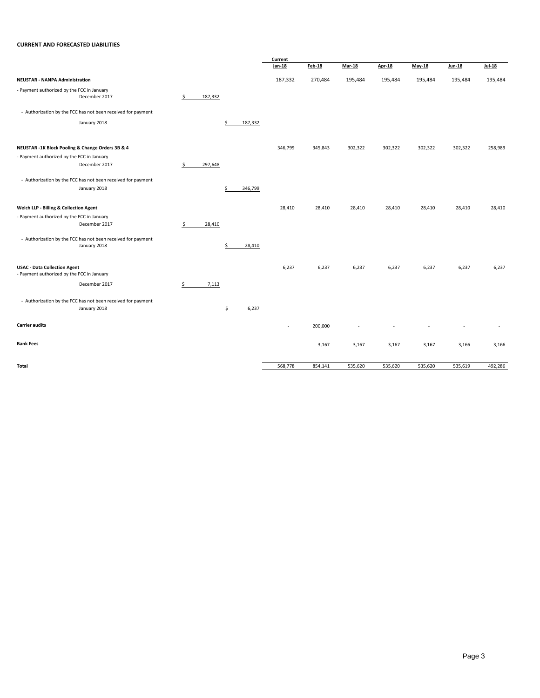#### **CURRENT AND FORECASTED LIABILITIES**

|                                                                                   |               |               | Current |         |               |         |          |               |               |
|-----------------------------------------------------------------------------------|---------------|---------------|---------|---------|---------------|---------|----------|---------------|---------------|
|                                                                                   |               |               | Jan-18  | Feb-18  | <b>Mar-18</b> | Apr-18  | $May-18$ | <b>Jun-18</b> | <b>Jul-18</b> |
| <b>NEUSTAR - NANPA Administration</b>                                             |               |               | 187,332 | 270,484 | 195,484       | 195,484 | 195,484  | 195,484       | 195,484       |
| - Payment authorized by the FCC in January<br>December 2017                       | \$<br>187,332 |               |         |         |               |         |          |               |               |
| - Authorization by the FCC has not been received for payment                      |               |               |         |         |               |         |          |               |               |
| January 2018                                                                      |               | \$<br>187,332 |         |         |               |         |          |               |               |
| NEUSTAR -1K Block Pooling & Change Orders 3B & 4                                  |               |               | 346,799 | 345,843 | 302,322       | 302,322 | 302,322  | 302,322       | 258,989       |
| - Payment authorized by the FCC in January<br>December 2017                       | \$<br>297,648 |               |         |         |               |         |          |               |               |
| - Authorization by the FCC has not been received for payment                      |               |               |         |         |               |         |          |               |               |
| January 2018                                                                      |               | \$<br>346,799 |         |         |               |         |          |               |               |
| Welch LLP - Billing & Collection Agent                                            |               |               | 28,410  | 28,410  | 28,410        | 28,410  | 28,410   | 28,410        | 28,410        |
| - Payment authorized by the FCC in January<br>December 2017                       | \$<br>28,410  |               |         |         |               |         |          |               |               |
| - Authorization by the FCC has not been received for payment<br>January 2018      |               | \$<br>28,410  |         |         |               |         |          |               |               |
| <b>USAC - Data Collection Agent</b><br>- Payment authorized by the FCC in January |               |               | 6,237   | 6,237   | 6,237         | 6,237   | 6,237    | 6,237         | 6,237         |
| December 2017                                                                     | \$<br>7,113   |               |         |         |               |         |          |               |               |
| - Authorization by the FCC has not been received for payment<br>January 2018      |               | \$<br>6,237   |         |         |               |         |          |               |               |
| <b>Carrier audits</b>                                                             |               |               | ٠       | 200,000 |               |         |          |               |               |
| <b>Bank Fees</b>                                                                  |               |               |         | 3,167   | 3,167         | 3,167   | 3,167    | 3,166         | 3,166         |
| Total                                                                             |               |               | 568,778 | 854,141 | 535,620       | 535,620 | 535,620  | 535,619       | 492,286       |
|                                                                                   |               |               |         |         |               |         |          |               |               |